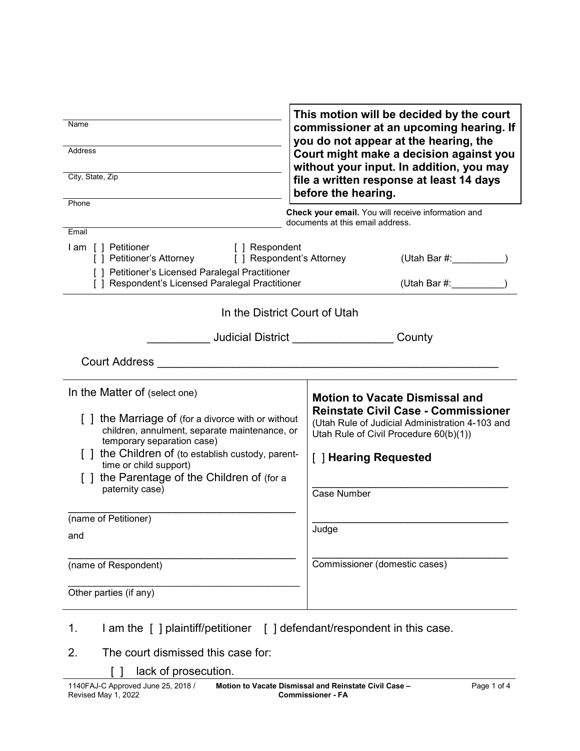| Name<br><b>Address</b><br>City, State, Zip                                                                                                                                                                                                                                                                  | This motion will be decided by the court<br>commissioner at an upcoming hearing. If<br>you do not appear at the hearing, the<br>Court might make a decision against you<br>without your input. In addition, you may<br>file a written response at least 14 days<br>before the hearing. |  |
|-------------------------------------------------------------------------------------------------------------------------------------------------------------------------------------------------------------------------------------------------------------------------------------------------------------|----------------------------------------------------------------------------------------------------------------------------------------------------------------------------------------------------------------------------------------------------------------------------------------|--|
| Phone                                                                                                                                                                                                                                                                                                       | Check your email. You will receive information and<br>documents at this email address.                                                                                                                                                                                                 |  |
| Email<br>I am [ ] Petitioner<br>[ ] Respondent<br>[ ] Petitioner's Attorney<br>[ ] Respondent's Attorney<br>[ ] Petitioner's Licensed Paralegal Practitioner<br>[ ] Respondent's Licensed Paralegal Practitioner                                                                                            | (Utah Bar $#$ :                                                                                                                                                                                                                                                                        |  |
| In the District Court of Utah                                                                                                                                                                                                                                                                               |                                                                                                                                                                                                                                                                                        |  |
|                                                                                                                                                                                                                                                                                                             | <b>Judicial District Analysis</b><br>County                                                                                                                                                                                                                                            |  |
| <b>Court Address</b>                                                                                                                                                                                                                                                                                        |                                                                                                                                                                                                                                                                                        |  |
| In the Matter of (select one)<br>[] the Marriage of (for a divorce with or without<br>children, annulment, separate maintenance, or<br>temporary separation case)<br>the Children of (to establish custody, parent-<br>time or child support)<br>the Parentage of the Children of (for a<br>paternity case) | <b>Motion to Vacate Dismissal and</b><br><b>Reinstate Civil Case - Commissioner</b><br>(Utah Rule of Judicial Administration 4-103 and<br>Utah Rule of Civil Procedure 60(b)(1))<br>[ ] Hearing Requested<br><b>Case Number</b>                                                        |  |
| (name of Petitioner)<br>and                                                                                                                                                                                                                                                                                 | Judge                                                                                                                                                                                                                                                                                  |  |
| (name of Respondent)                                                                                                                                                                                                                                                                                        | Commissioner (domestic cases)                                                                                                                                                                                                                                                          |  |
| Other parties (if any)                                                                                                                                                                                                                                                                                      |                                                                                                                                                                                                                                                                                        |  |
| I am the [ ] plaintiff/petitioner [ ] defendant/respondent in this case.<br>1.                                                                                                                                                                                                                              |                                                                                                                                                                                                                                                                                        |  |

- 2. The court dismissed this case for:
	- [ ] lack of prosecution.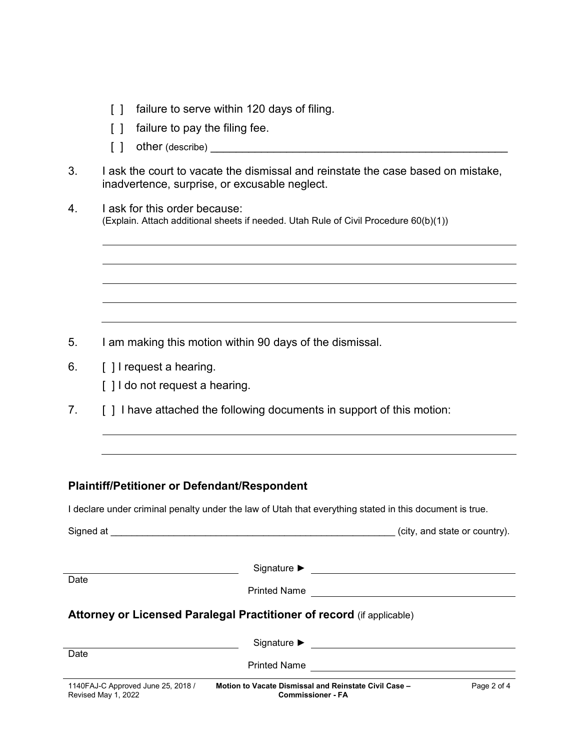- [] failure to serve within 120 days of filing.
- [ ] failure to pay the filing fee.
- $\begin{bmatrix} \phantom{a} \end{bmatrix}$  other (describe)
- 3. I ask the court to vacate the dismissal and reinstate the case based on mistake, inadvertence, surprise, or excusable neglect.
- 4. I ask for this order because: (Explain. Attach additional sheets if needed. Utah Rule of Civil Procedure 60(b)(1))

- 5. I am making this motion within 90 days of the dismissal.
- 6. **[ ] I request a hearing.** 
	- [  $\vert$   $\vert$   $\vert$  do not request a hearing.
- 7. [ ] I have attached the following documents in support of this motion:

#### **Plaintiff/Petitioner or Defendant/Respondent**

I declare under criminal penalty under the law of Utah that everything stated in this document is true.

| Signed at                                                                    | the control of the control of the control of the control of the control of the control of | (city, and state or country).               |  |
|------------------------------------------------------------------------------|-------------------------------------------------------------------------------------------|---------------------------------------------|--|
| Date                                                                         | <b>Printed Name</b>                                                                       | <u> 1980 - Jan Samuel Barbara, martin a</u> |  |
| <b>Attorney or Licensed Paralegal Practitioner of record (if applicable)</b> |                                                                                           |                                             |  |
|                                                                              |                                                                                           |                                             |  |
| Date                                                                         |                                                                                           |                                             |  |
| 1140FAJ-C Approved June 25, 2018 /<br>Revised May 1, 2022                    | Motion to Vacate Dismissal and Reinstate Civil Case -<br><b>Commissioner - FA</b>         | Page 2 of 4                                 |  |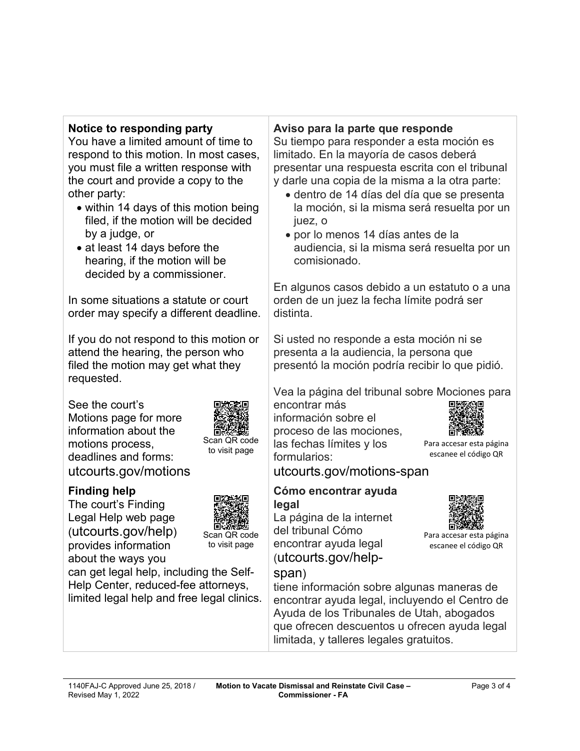# **Notice to responding party**

You have a limited amount of time to respond to this motion. In most cases, you must file a written response with the court and provide a copy to the other party:

- within 14 days of this motion being filed, if the motion will be decided by a judge, or
- at least 14 days before the hearing, if the motion will be decided by a commissioner.

In some situations a statute or court order may specify a different deadline.

If you do not respond to this motion or attend the hearing, the person who filed the motion may get what they requested.

See the court's Motions page for more information about the motions process, deadlines and forms: utcourts.gov/motions



The court's Finding Legal Help web page (utcourts.gov/help) provides information about the ways you



Scan QR code to visit page

Scan QR code to visit page

can get legal help, including the Self-Help Center, reduced-fee attorneys, limited legal help and free legal clinics.

# **Aviso para la parte que responde**

Su tiempo para responder a esta moción es limitado. En la mayoría de casos deberá presentar una respuesta escrita con el tribunal y darle una copia de la misma a la otra parte:

- dentro de 14 días del día que se presenta la moción, si la misma será resuelta por un juez, o
- por lo menos 14 días antes de la audiencia, si la misma será resuelta por un comisionado.

En algunos casos debido a un estatuto o a una orden de un juez la fecha límite podrá ser distinta.

Si usted no responde a esta moción ni se presenta a la audiencia, la persona que presentó la moción podría recibir lo que pidió.

Vea la página del tribunal sobre Mociones para

encontrar más información sobre el proceso de las mociones, las fechas límites y los formularios:



Para accesar esta página escanee el código QR

Para accesar esta página escanee el código QR

utcourts.gov/motions-span

#### **Cómo encontrar ayuda legal**

La página de la internet del tribunal Cómo encontrar ayuda legal (utcourts.gov/help-



tiene información sobre algunas maneras de encontrar ayuda legal, incluyendo el Centro de Ayuda de los Tribunales de Utah, abogados que ofrecen descuentos u ofrecen ayuda legal limitada, y talleres legales gratuitos.